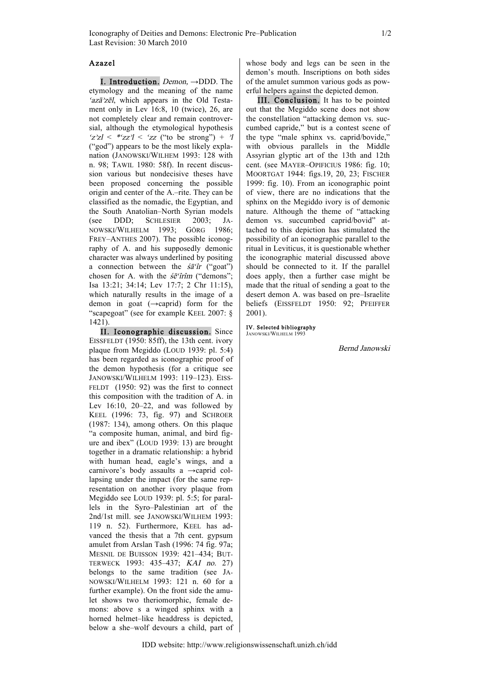## Azazel

I. Introduction.  $Demo_n \rightarrow DDD$ . The etymology and the meaning of the name ' $azā$ <sup>2</sup>zēl, which appears in the Old Testament only in Lev 16:8, 10 (twice), 26, are not completely clear and remain controversial, although the etymological hypothesis  $\frac{2}{2z} < *zz' \leq z$  ("to be strong") +  $\frac{1}{2}$ ("god") appears to be the most likely explanation (JANOWSKI/WILHEM 1993: 128 with n. 98; TAWIL 1980: 58f). In recent discussion various but nondecisive theses have been proposed concerning the possible origin and center of the A.–rite. They can be classified as the nomadic, the Egyptian, and the South Anatolian–North Syrian models (see DDD; SCHLESIER 2003; JA-NOWSKI/WILHELM 1993; GÖRG 1986; FREY–ANTHES 2007). The possible iconography of A. and his supposedly demonic character was always underlined by positing a connection between the  $\dot{s}\bar{a}$  "*i*" ("goat") chosen for A. with the  $\acute{s}e$ <sup>o</sup>frim ("demons"; Isa 13:21; 34:14; Lev 17:7; 2 Chr 11:15), which naturally results in the image of a demon in goat (→caprid) form for the "scapegoat" (see for example KEEL 2007: § 1421).

II. Iconographic discussion. Since EISSFELDT (1950: 85ff), the 13th cent. ivory plaque from Megiddo (LOUD 1939: pl. 5:4) has been regarded as iconographic proof of the demon hypothesis (for a critique see JANOWSKI/WILHELM 1993: 119–123). EISS-FELDT (1950: 92) was the first to connect this composition with the tradition of A. in Lev 16:10, 20–22, and was followed by KEEL (1996: 73, fig. 97) and SCHROER (1987: 134), among others. On this plaque "a composite human, animal, and bird figure and ibex" (LOUD 1939: 13) are brought together in a dramatic relationship: a hybrid with human head, eagle's wings, and a carnivore's body assaults a →caprid collapsing under the impact (for the same representation on another ivory plaque from Megiddo see LOUD 1939: pl. 5:5; for parallels in the Syro–Palestinian art of the 2nd/1st mill. see JANOWSKI/WILHEM 1993: 119 n. 52). Furthermore, KEEL has advanced the thesis that a 7th cent. gypsum amulet from Arslan Tash (1996: 74 fig. 97a; MESNIL DE BUISSON 1939: 421–434; BUT-TERWECK 1993: 435–437; KAI no. 27) belongs to the same tradition (see JA-NOWSKI/WILHELM 1993: 121 n. 60 for a further example). On the front side the amulet shows two theriomorphic, female demons: above s a winged sphinx with a horned helmet–like headdress is depicted, below a she–wolf devours a child, part of whose body and legs can be seen in the demon's mouth. Inscriptions on both sides of the amulet summon various gods as powerful helpers against the depicted demon.

III. Conclusion. It has to be pointed out that the Megiddo scene does not show the constellation "attacking demon vs. succumbed capride," but is a contest scene of the type "male sphinx vs. caprid/bovide," with obvious parallels in the Middle Assyrian glyptic art of the 13th and 12th cent. (see MAYER–OPIFICIUS 1986: fig. 10; MOORTGAT 1944: figs.19, 20, 23; FISCHER 1999: fig. 10). From an iconographic point of view, there are no indications that the sphinx on the Megiddo ivory is of demonic nature. Although the theme of "attacking demon vs. succumbed caprid/bovid" attached to this depiction has stimulated the possibility of an iconographic parallel to the ritual in Leviticus, it is questionable whether the iconographic material discussed above should be connected to it. If the parallel does apply, then a further case might be made that the ritual of sending a goat to the desert demon A. was based on pre–Israelite beliefs (EISSFELDT 1950: 92; PFEIFFER 2001).

IV. Selected bibliography JANOWSKI/WILHELM 19

Bernd Janowski